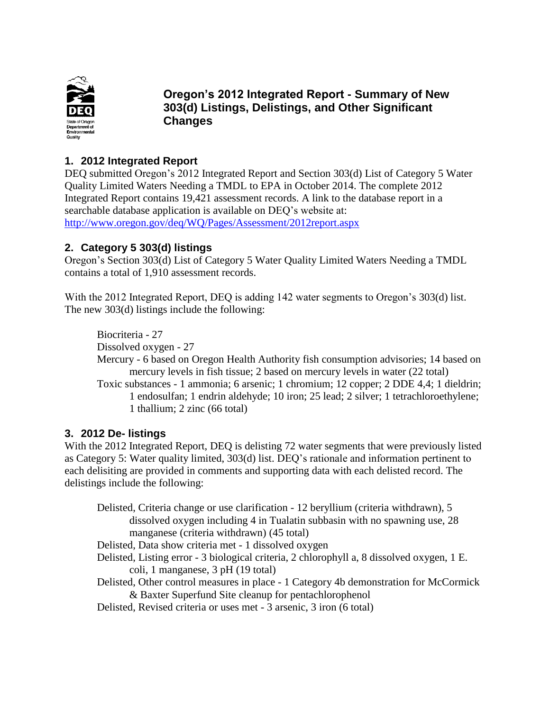

**Oregon's 2012 Integrated Report - Summary of New 303(d) Listings, Delistings, and Other Significant Changes**

### **1. 2012 Integrated Report**

DEQ submitted Oregon's 2012 Integrated Report and Section 303(d) List of Category 5 Water Quality Limited Waters Needing a TMDL to EPA in October 2014. The complete 2012 Integrated Report contains 19,421 assessment records. A link to the database report in a searchable database application is available on DEQ's website at: <http://www.oregon.gov/deq/WQ/Pages/Assessment/2012report.aspx>

# **2. Category 5 303(d) listings**

Oregon's Section 303(d) List of Category 5 Water Quality Limited Waters Needing a TMDL contains a total of 1,910 assessment records.

With the 2012 Integrated Report, DEQ is adding 142 water segments to Oregon's 303(d) list. The new 303(d) listings include the following:

Biocriteria - 27 Dissolved oxygen - 27 Mercury - 6 based on Oregon Health Authority fish consumption advisories; 14 based on mercury levels in fish tissue; 2 based on mercury levels in water (22 total) Toxic substances - 1 ammonia; 6 arsenic; 1 chromium; 12 copper; 2 DDE 4,4; 1 dieldrin; 1 endosulfan; 1 endrin aldehyde; 10 iron; 25 lead; 2 silver; 1 tetrachloroethylene; 1 thallium; 2 zinc (66 total)

#### **3. 2012 De- listings**

With the 2012 Integrated Report, DEQ is delisting 72 water segments that were previously listed as Category 5: Water quality limited, 303(d) list. DEQ's rationale and information pertinent to each delisiting are provided in comments and supporting data with each delisted record. The delistings include the following:

Delisted, Criteria change or use clarification - 12 beryllium (criteria withdrawn), 5 dissolved oxygen including 4 in Tualatin subbasin with no spawning use, 28 manganese (criteria withdrawn) (45 total) Delisted, Data show criteria met - 1 dissolved oxygen Delisted, Listing error - 3 biological criteria, 2 chlorophyll a, 8 dissolved oxygen, 1 E. coli, 1 manganese, 3 pH (19 total) Delisted, Other control measures in place - 1 Category 4b demonstration for McCormick & Baxter Superfund Site cleanup for pentachlorophenol Delisted, Revised criteria or uses met - 3 arsenic, 3 iron (6 total)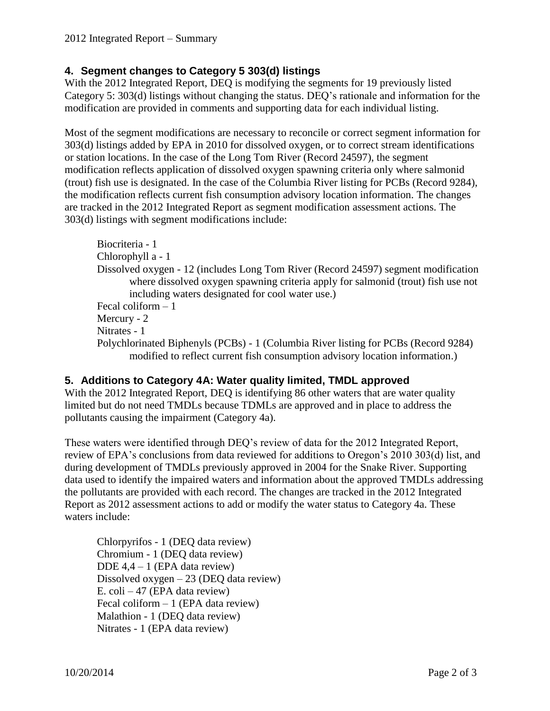# **4. Segment changes to Category 5 303(d) listings**

With the 2012 Integrated Report, DEQ is modifying the segments for 19 previously listed Category 5: 303(d) listings without changing the status. DEQ's rationale and information for the modification are provided in comments and supporting data for each individual listing.

Most of the segment modifications are necessary to reconcile or correct segment information for 303(d) listings added by EPA in 2010 for dissolved oxygen, or to correct stream identifications or station locations. In the case of the Long Tom River (Record 24597), the segment modification reflects application of dissolved oxygen spawning criteria only where salmonid (trout) fish use is designated. In the case of the Columbia River listing for PCBs (Record 9284), the modification reflects current fish consumption advisory location information. The changes are tracked in the 2012 Integrated Report as segment modification assessment actions. The 303(d) listings with segment modifications include:

```
Biocriteria - 1
Chlorophyll a - 1
Dissolved oxygen - 12 (includes Long Tom River (Record 24597) segment modification 
       where dissolved oxygen spawning criteria apply for salmonid (trout) fish use not 
       including waters designated for cool water use.)
Fecal coliform – 1
Mercury - 2
Nitrates - 1
Polychlorinated Biphenyls (PCBs) - 1 (Columbia River listing for PCBs (Record 9284)
       modified to reflect current fish consumption advisory location information.)
```
# **5. Additions to Category 4A: Water quality limited, TMDL approved**

With the 2012 Integrated Report, DEQ is identifying 86 other waters that are water quality limited but do not need TMDLs because TDMLs are approved and in place to address the pollutants causing the impairment (Category 4a).

These waters were identified through DEQ's review of data for the 2012 Integrated Report, review of EPA's conclusions from data reviewed for additions to Oregon's 2010 303(d) list, and during development of TMDLs previously approved in 2004 for the Snake River. Supporting data used to identify the impaired waters and information about the approved TMDLs addressing the pollutants are provided with each record. The changes are tracked in the 2012 Integrated Report as 2012 assessment actions to add or modify the water status to Category 4a. These waters include:

Chlorpyrifos - 1 (DEQ data review) Chromium - 1 (DEQ data review) DDE  $4,4 - 1$  (EPA data review) Dissolved oxygen – 23 (DEQ data review) E. coli – 47 (EPA data review) Fecal coliform – 1 (EPA data review) Malathion - 1 (DEQ data review) Nitrates - 1 (EPA data review)